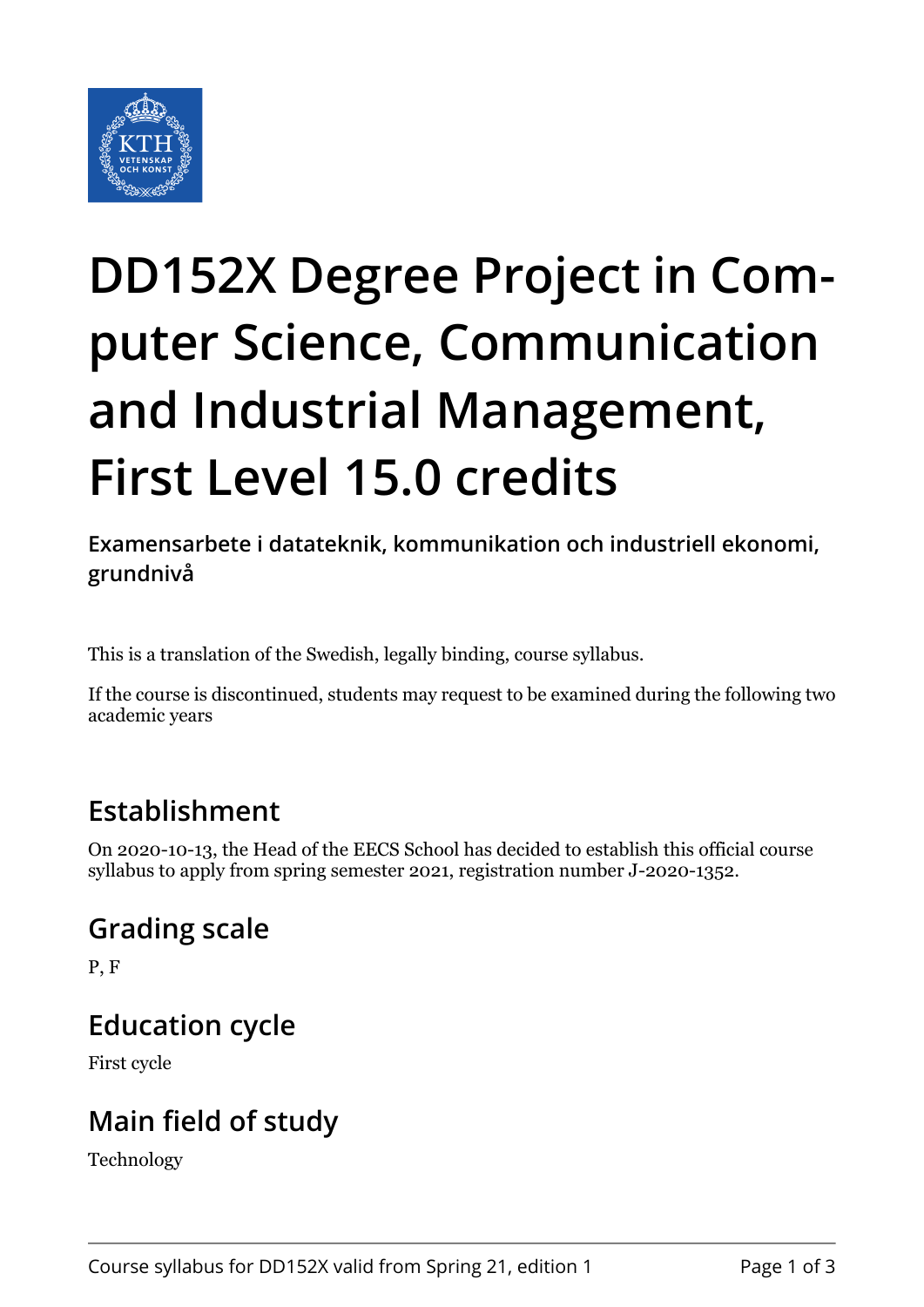

# **DD152X Degree Project in Computer Science, Communication and Industrial Management, First Level 15.0 credits**

**Examensarbete i datateknik, kommunikation och industriell ekonomi, grundnivå**

This is a translation of the Swedish, legally binding, course syllabus.

If the course is discontinued, students may request to be examined during the following two academic years

## **Establishment**

On 2020-10-13, the Head of the EECS School has decided to establish this official course syllabus to apply from spring semester 2021, registration number J-2020-1352.

## **Grading scale**

P, F

#### **Education cycle**

First cycle

## **Main field of study**

Technology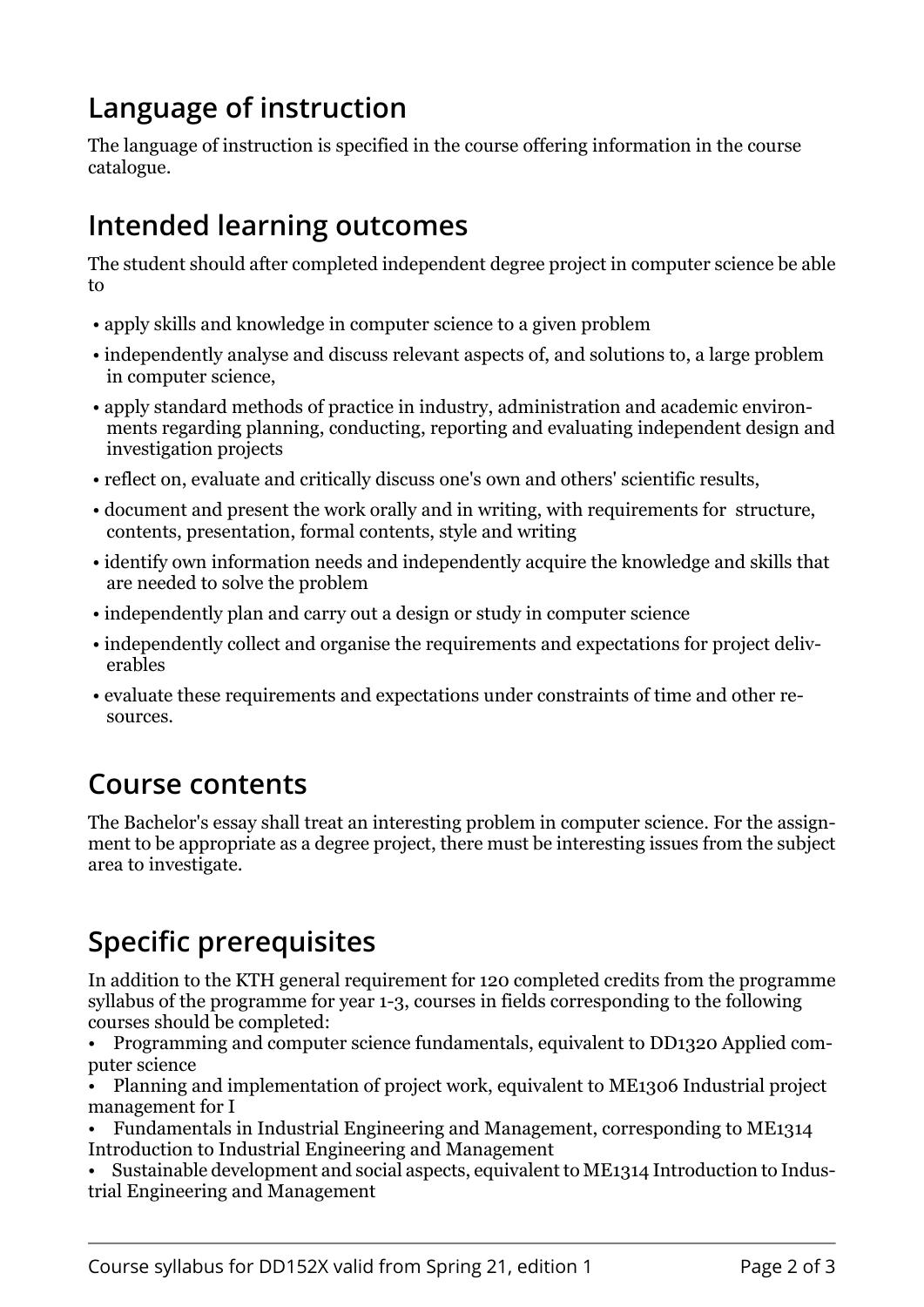# **Language of instruction**

The language of instruction is specified in the course offering information in the course catalogue.

## **Intended learning outcomes**

The student should after completed independent degree project in computer science be able to

- apply skills and knowledge in computer science to a given problem
- independently analyse and discuss relevant aspects of, and solutions to, a large problem in computer science,
- apply standard methods of practice in industry, administration and academic environments regarding planning, conducting, reporting and evaluating independent design and investigation projects
- reflect on, evaluate and critically discuss one's own and others' scientific results,
- document and present the work orally and in writing, with requirements for structure, contents, presentation, formal contents, style and writing
- identify own information needs and independently acquire the knowledge and skills that are needed to solve the problem
- independently plan and carry out a design or study in computer science
- independently collect and organise the requirements and expectations for project deliverables
- evaluate these requirements and expectations under constraints of time and other resources.

#### **Course contents**

The Bachelor's essay shall treat an interesting problem in computer science. For the assignment to be appropriate as a degree project, there must be interesting issues from the subject area to investigate.

# **Specific prerequisites**

In addition to the KTH general requirement for 120 completed credits from the programme syllabus of the programme for year 1-3, courses in fields corresponding to the following courses should be completed:

• Programming and computer science fundamentals, equivalent to DD1320 Applied computer science

• Planning and implementation of project work, equivalent to ME1306 Industrial project management for I

- Fundamentals in Industrial Engineering and Management, corresponding to ME1314 Introduction to Industrial Engineering and Management
- Sustainable development and social aspects, equivalent to ME1314 Introduction to Industrial Engineering and Management